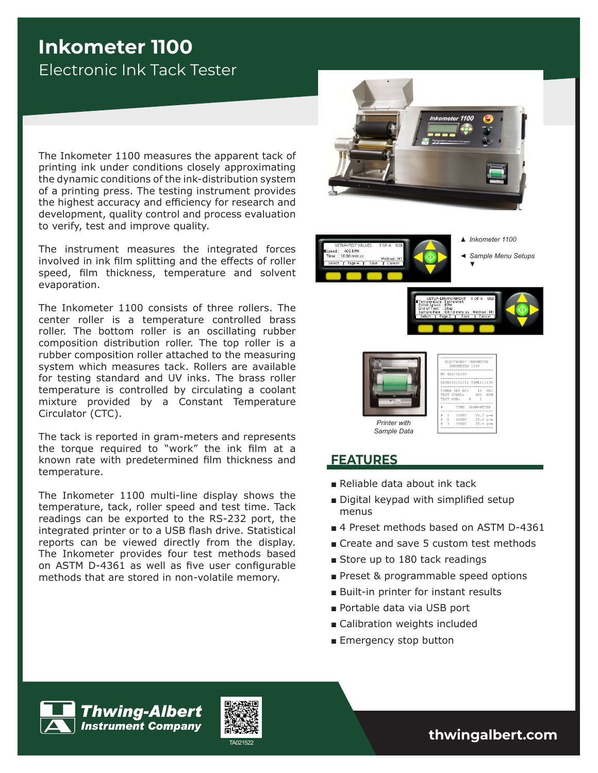# **Inkometer 1100** Electronic Ink Tack Tester

The Inkometer 1100 measures the apparent tack of printing ink under conditions closely approximating the dynamic conditions of the ink-distribution system of a printing press. The testing instrument provides the highest accuracy and efficiency for research and development, quality control and process evaluation to verify, test and improve quality.

The instrument measures the integrated forces involved in ink film splitting and the effects of roller speed, film thickness, temperature and solvent evaporation.

The Inkometer 1100 consists of three rollers. The center roller is a temperature controlled brass roller. The bottom roller is an oscillating rubber composition distribution roller. The top roller is a rubber composition roller attached to the measuring system which measures tack. Rollers are available for testing standard and UV inks. The brass roller temperature is controlled by circulating a coolant mixture provided by a Constant Temperature Circulator (CTC).

The tack is reported in gram-meters and represents the torque required to "work" the ink film at a known rate with predetermined film thickness and temperature.

The Inkometer 1100 multi-line display shows the temperature, tack, roller speed and test time. Tack readings can be exported to the RS-232 port, the integrated printer or to a USB flash drive. Statistical reports can be viewed directly from the display. The Inkometer provides four test methods based on ASTM D-4361 as well as five user configurable methods that are stored in non-volatile memory.









### **FEATURES**

- Reliable data about ink tack
- Digital keypad with simplified setup menus
- 4 Preset methods based on ASTM D-4361
- Create and save 5 custom test methods
- Store up to 180 tack readings
- Preset & programmable speed options
- Built-in printer for instant results
- Portable data via USB port
- Calibration weights included
- Emergency stop button





TA021522 **thwingalbert.com**